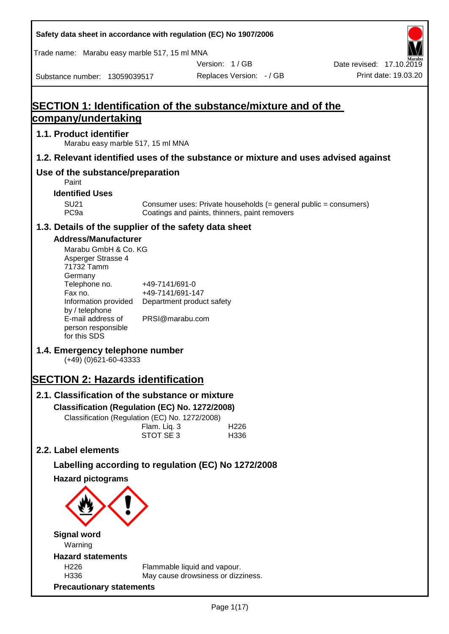| Safety data sheet in accordance with regulation (EC) No 1907/2006                                                                                                                                                                                                                                                                                                                                |                                                       |                                               |                          |                                                                  |
|--------------------------------------------------------------------------------------------------------------------------------------------------------------------------------------------------------------------------------------------------------------------------------------------------------------------------------------------------------------------------------------------------|-------------------------------------------------------|-----------------------------------------------|--------------------------|------------------------------------------------------------------|
| Trade name: Marabu easy marble 517, 15 ml MNA                                                                                                                                                                                                                                                                                                                                                    |                                                       |                                               |                          |                                                                  |
|                                                                                                                                                                                                                                                                                                                                                                                                  |                                                       |                                               | Version: 1 / GB          | Date revised: 17.10.2019                                         |
| Substance number: 13059039517                                                                                                                                                                                                                                                                                                                                                                    |                                                       |                                               | Replaces Version: - / GB | Print date: 19.03.20                                             |
| <b>SECTION 1: Identification of the substance/mixture and of the</b><br>company/undertaking                                                                                                                                                                                                                                                                                                      |                                                       |                                               |                          |                                                                  |
| 1.1. Product identifier<br>Marabu easy marble 517, 15 ml MNA                                                                                                                                                                                                                                                                                                                                     |                                                       |                                               |                          |                                                                  |
| 1.2. Relevant identified uses of the substance or mixture and uses advised against                                                                                                                                                                                                                                                                                                               |                                                       |                                               |                          |                                                                  |
| Use of the substance/preparation<br>Paint                                                                                                                                                                                                                                                                                                                                                        |                                                       |                                               |                          |                                                                  |
| <b>Identified Uses</b>                                                                                                                                                                                                                                                                                                                                                                           |                                                       |                                               |                          |                                                                  |
| <b>SU21</b><br>PC <sub>9a</sub>                                                                                                                                                                                                                                                                                                                                                                  |                                                       | Coatings and paints, thinners, paint removers |                          | Consumer uses: Private households (= general public = consumers) |
| 1.3. Details of the supplier of the safety data sheet                                                                                                                                                                                                                                                                                                                                            |                                                       |                                               |                          |                                                                  |
| <b>Address/Manufacturer</b><br>Marabu GmbH & Co. KG<br>Asperger Strasse 4<br>71732 Tamm<br>Germany<br>Telephone no.<br>Fax no.<br>Information provided<br>by / telephone<br>E-mail address of<br>person responsible<br>for this SDS<br>1.4. Emergency telephone number<br>$(+49)$ (0)621-60-43333<br><b>SECTION 2: Hazards identification</b><br>2.1. Classification of the substance or mixture | +49-7141/691-0<br>+49-7141/691-147<br>PRSI@marabu.com | Department product safety                     |                          |                                                                  |
| Classification (Regulation (EC) No. 1272/2008)<br>Classification (Regulation (EC) No. 1272/2008)                                                                                                                                                                                                                                                                                                 | Flam. Liq. 3<br>STOT SE 3                             |                                               | H <sub>226</sub><br>H336 |                                                                  |
| 2.2. Label elements                                                                                                                                                                                                                                                                                                                                                                              |                                                       |                                               |                          |                                                                  |
| Labelling according to regulation (EC) No 1272/2008                                                                                                                                                                                                                                                                                                                                              |                                                       |                                               |                          |                                                                  |
| <b>Hazard pictograms</b>                                                                                                                                                                                                                                                                                                                                                                         |                                                       |                                               |                          |                                                                  |
| <b>Signal word</b>                                                                                                                                                                                                                                                                                                                                                                               |                                                       |                                               |                          |                                                                  |
| Warning<br><b>Hazard statements</b>                                                                                                                                                                                                                                                                                                                                                              |                                                       |                                               |                          |                                                                  |
| H226                                                                                                                                                                                                                                                                                                                                                                                             |                                                       | Flammable liquid and vapour.                  |                          |                                                                  |
| H336                                                                                                                                                                                                                                                                                                                                                                                             |                                                       | May cause drowsiness or dizziness.            |                          |                                                                  |
| <b>Precautionary statements</b>                                                                                                                                                                                                                                                                                                                                                                  |                                                       |                                               |                          |                                                                  |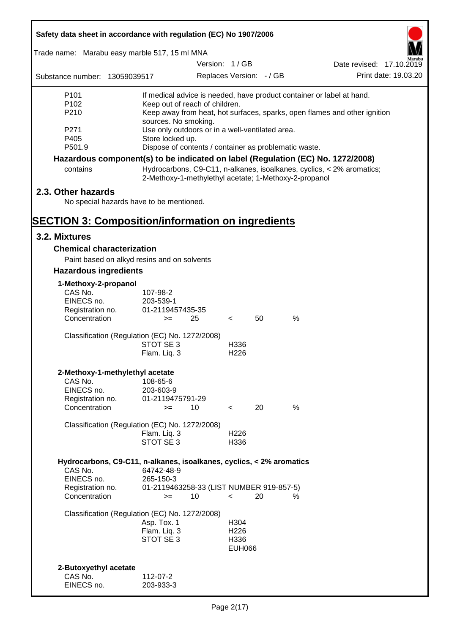| Safety data sheet in accordance with regulation (EC) No 1907/2006 |                                                                                 |                                                                         |                          |                          |      |                                                                           |                      |
|-------------------------------------------------------------------|---------------------------------------------------------------------------------|-------------------------------------------------------------------------|--------------------------|--------------------------|------|---------------------------------------------------------------------------|----------------------|
| Trade name: Marabu easy marble 517, 15 ml MNA                     |                                                                                 |                                                                         |                          |                          |      |                                                                           |                      |
|                                                                   |                                                                                 | Version: 1/GB                                                           |                          |                          |      | Date revised: 17.10.2019                                                  |                      |
| Substance number: 13059039517                                     |                                                                                 |                                                                         |                          | Replaces Version: - / GB |      |                                                                           | Print date: 19.03.20 |
| P <sub>101</sub>                                                  | If medical advice is needed, have product container or label at hand.           |                                                                         |                          |                          |      |                                                                           |                      |
| P <sub>102</sub>                                                  | Keep out of reach of children.                                                  |                                                                         |                          |                          |      |                                                                           |                      |
| P210                                                              |                                                                                 |                                                                         |                          |                          |      | Keep away from heat, hot surfaces, sparks, open flames and other ignition |                      |
| P <sub>271</sub>                                                  |                                                                                 | sources. No smoking.<br>Use only outdoors or in a well-ventilated area. |                          |                          |      |                                                                           |                      |
| P405                                                              | Store locked up.                                                                |                                                                         |                          |                          |      |                                                                           |                      |
| P501.9                                                            | Dispose of contents / container as problematic waste.                           |                                                                         |                          |                          |      |                                                                           |                      |
|                                                                   | Hazardous component(s) to be indicated on label (Regulation (EC) No. 1272/2008) |                                                                         |                          |                          |      |                                                                           |                      |
| contains                                                          | 2-Methoxy-1-methylethyl acetate; 1-Methoxy-2-propanol                           |                                                                         |                          |                          |      | Hydrocarbons, C9-C11, n-alkanes, isoalkanes, cyclics, < 2% aromatics;     |                      |
| 2.3. Other hazards                                                |                                                                                 |                                                                         |                          |                          |      |                                                                           |                      |
|                                                                   | No special hazards have to be mentioned.                                        |                                                                         |                          |                          |      |                                                                           |                      |
| <b>SECTION 3: Composition/information on ingredients</b>          |                                                                                 |                                                                         |                          |                          |      |                                                                           |                      |
| 3.2. Mixtures                                                     |                                                                                 |                                                                         |                          |                          |      |                                                                           |                      |
| <b>Chemical characterization</b>                                  |                                                                                 |                                                                         |                          |                          |      |                                                                           |                      |
|                                                                   | Paint based on alkyd resins and on solvents                                     |                                                                         |                          |                          |      |                                                                           |                      |
| <b>Hazardous ingredients</b>                                      |                                                                                 |                                                                         |                          |                          |      |                                                                           |                      |
| 1-Methoxy-2-propanol                                              |                                                                                 |                                                                         |                          |                          |      |                                                                           |                      |
| CAS No.                                                           | 107-98-2                                                                        |                                                                         |                          |                          |      |                                                                           |                      |
| EINECS no.                                                        | 203-539-1                                                                       |                                                                         |                          |                          |      |                                                                           |                      |
| Registration no.<br>Concentration                                 | 01-2119457435-35<br>$>=$                                                        | 25                                                                      | $\lt$                    | 50                       | $\%$ |                                                                           |                      |
|                                                                   | Classification (Regulation (EC) No. 1272/2008)                                  |                                                                         |                          |                          |      |                                                                           |                      |
|                                                                   | STOT SE 3                                                                       |                                                                         | H336                     |                          |      |                                                                           |                      |
|                                                                   | Flam. Liq. 3                                                                    |                                                                         | H <sub>226</sub>         |                          |      |                                                                           |                      |
|                                                                   | 2-Methoxy-1-methylethyl acetate                                                 |                                                                         |                          |                          |      |                                                                           |                      |
| CAS No.                                                           | 108-65-6                                                                        |                                                                         |                          |                          |      |                                                                           |                      |
| EINECS no.                                                        | 203-603-9                                                                       |                                                                         |                          |                          |      |                                                                           |                      |
| Registration no.<br>Concentration                                 | 01-2119475791-29<br>$>=$                                                        | 10                                                                      | $\overline{\phantom{0}}$ | 20                       | %    |                                                                           |                      |
|                                                                   |                                                                                 |                                                                         |                          |                          |      |                                                                           |                      |
|                                                                   | Classification (Regulation (EC) No. 1272/2008)                                  |                                                                         |                          |                          |      |                                                                           |                      |
|                                                                   | Flam. Liq. 3<br>STOT SE 3                                                       |                                                                         | H <sub>226</sub>         |                          |      |                                                                           |                      |
|                                                                   |                                                                                 |                                                                         | H336                     |                          |      |                                                                           |                      |
|                                                                   | Hydrocarbons, C9-C11, n-alkanes, isoalkanes, cyclics, < 2% aromatics            |                                                                         |                          |                          |      |                                                                           |                      |
| CAS No.                                                           | 64742-48-9                                                                      |                                                                         |                          |                          |      |                                                                           |                      |
| EINECS no.                                                        | 265-150-3<br>01-2119463258-33 (LIST NUMBER 919-857-5)                           |                                                                         |                          |                          |      |                                                                           |                      |
| Registration no.<br>Concentration                                 | $>=$                                                                            | 10                                                                      | $\prec$                  | 20                       | %    |                                                                           |                      |
|                                                                   | Classification (Regulation (EC) No. 1272/2008)                                  |                                                                         |                          |                          |      |                                                                           |                      |
|                                                                   | Asp. Tox. 1                                                                     |                                                                         | H304                     |                          |      |                                                                           |                      |
|                                                                   | Flam. Liq. 3<br>STOT SE 3                                                       |                                                                         | H <sub>226</sub><br>H336 |                          |      |                                                                           |                      |
|                                                                   |                                                                                 |                                                                         | <b>EUH066</b>            |                          |      |                                                                           |                      |
|                                                                   |                                                                                 |                                                                         |                          |                          |      |                                                                           |                      |
| 2-Butoxyethyl acetate<br>CAS No.                                  | 112-07-2                                                                        |                                                                         |                          |                          |      |                                                                           |                      |
| EINECS no.                                                        | 203-933-3                                                                       |                                                                         |                          |                          |      |                                                                           |                      |
|                                                                   |                                                                                 |                                                                         |                          |                          |      |                                                                           |                      |

r

 $\overline{\mathbf{1}}$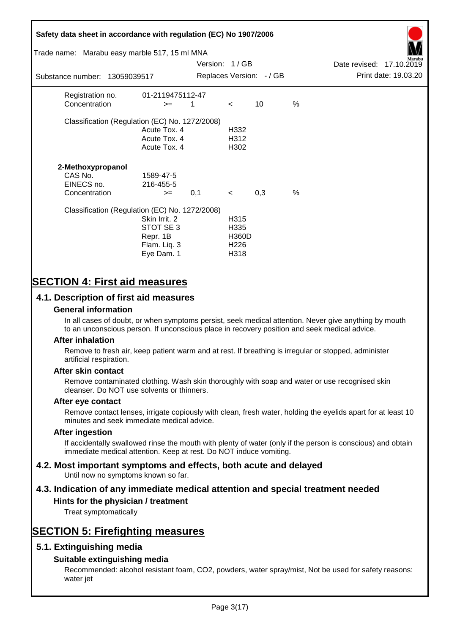# **Safety data sheet in accordance with regulation (EC) No 1907/2006** Substance number: 13059039517 Version: 1 / GB Replaces Version:  $-$  / GB Print date: 19.03.20 Date revised: 17.10.2019 Trade name: Marabu easy marble 517, 15 ml MNA Registration no. 01-2119475112-47  $\text{Concentration}$   $\geq$  1 < 10 % Classification (Regulation (EC) No. 1272/2008) Acute Tox. 4 H332 Acute Tox. 4 H312 Acute Tox. 4 H302 **2-Methoxypropanol** CAS No. 1589-47-5 EINECS no. 216-455-5  $\text{Concentration}$   $\rightarrow$  0.1 < 0.3 % Classification (Regulation (EC) No. 1272/2008) Skin Irrit. 2 H315 STOT SE 3 H335 Repr. 1B H360D Flam. Liq. 3 H226 Eye Dam. 1 H318

# **SECTION 4: First aid measures**

# **4.1. Description of first aid measures**

## **General information**

In all cases of doubt, or when symptoms persist, seek medical attention. Never give anything by mouth to an unconscious person. If unconscious place in recovery position and seek medical advice.

## **After inhalation**

Remove to fresh air, keep patient warm and at rest. If breathing is irregular or stopped, administer artificial respiration.

## **After skin contact**

Remove contaminated clothing. Wash skin thoroughly with soap and water or use recognised skin cleanser. Do NOT use solvents or thinners.

## **After eye contact**

Remove contact lenses, irrigate copiously with clean, fresh water, holding the eyelids apart for at least 10 minutes and seek immediate medical advice.

#### **After ingestion**

If accidentally swallowed rinse the mouth with plenty of water (only if the person is conscious) and obtain immediate medical attention. Keep at rest. Do NOT induce vomiting.

# **4.2. Most important symptoms and effects, both acute and delayed**

Until now no symptoms known so far.

# **4.3. Indication of any immediate medical attention and special treatment needed**

## **Hints for the physician / treatment**

Treat symptomatically

# **SECTION 5: Firefighting measures**

# **5.1. Extinguishing media**

# **Suitable extinguishing media**

Recommended: alcohol resistant foam, CO2, powders, water spray/mist, Not be used for safety reasons: water jet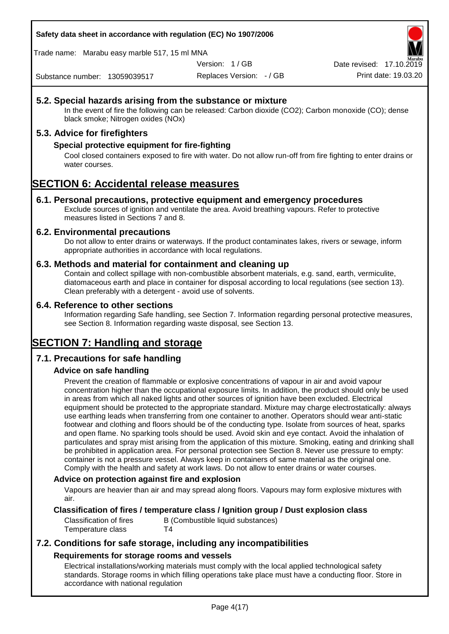## **Safety data sheet in accordance with regulation (EC) No 1907/2006**

Trade name: Marabu easy marble 517, 15 ml MNA

Version: 1 / GB

Replaces Version: - / GB Print date: 19.03.20 Date revised: 17.10.2

Substance number: 13059039517

# **5.2. Special hazards arising from the substance or mixture**

In the event of fire the following can be released: Carbon dioxide (CO2); Carbon monoxide (CO); dense black smoke; Nitrogen oxides (NOx)

# **5.3. Advice for firefighters**

## **Special protective equipment for fire-fighting**

Cool closed containers exposed to fire with water. Do not allow run-off from fire fighting to enter drains or water courses.

# **SECTION 6: Accidental release measures**

## **6.1. Personal precautions, protective equipment and emergency procedures**

Exclude sources of ignition and ventilate the area. Avoid breathing vapours. Refer to protective measures listed in Sections 7 and 8.

## **6.2. Environmental precautions**

Do not allow to enter drains or waterways. If the product contaminates lakes, rivers or sewage, inform appropriate authorities in accordance with local regulations.

## **6.3. Methods and material for containment and cleaning up**

Contain and collect spillage with non-combustible absorbent materials, e.g. sand, earth, vermiculite, diatomaceous earth and place in container for disposal according to local regulations (see section 13). Clean preferably with a detergent - avoid use of solvents.

## **6.4. Reference to other sections**

Information regarding Safe handling, see Section 7. Information regarding personal protective measures, see Section 8. Information regarding waste disposal, see Section 13.

# **SECTION 7: Handling and storage**

# **7.1. Precautions for safe handling**

# **Advice on safe handling**

Prevent the creation of flammable or explosive concentrations of vapour in air and avoid vapour concentration higher than the occupational exposure limits. In addition, the product should only be used in areas from which all naked lights and other sources of ignition have been excluded. Electrical equipment should be protected to the appropriate standard. Mixture may charge electrostatically: always use earthing leads when transferring from one container to another. Operators should wear anti-static footwear and clothing and floors should be of the conducting type. Isolate from sources of heat, sparks and open flame. No sparking tools should be used. Avoid skin and eye contact. Avoid the inhalation of particulates and spray mist arising from the application of this mixture. Smoking, eating and drinking shall be prohibited in application area. For personal protection see Section 8. Never use pressure to empty: container is not a pressure vessel. Always keep in containers of same material as the original one. Comply with the health and safety at work laws. Do not allow to enter drains or water courses.

## **Advice on protection against fire and explosion**

Vapours are heavier than air and may spread along floors. Vapours may form explosive mixtures with air.

## **Classification of fires / temperature class / Ignition group / Dust explosion class**

Classification of fires B (Combustible liquid substances) Temperature class T4

# **7.2. Conditions for safe storage, including any incompatibilities Requirements for storage rooms and vessels**

Electrical installations/working materials must comply with the local applied technological safety standards. Storage rooms in which filling operations take place must have a conducting floor. Store in accordance with national regulation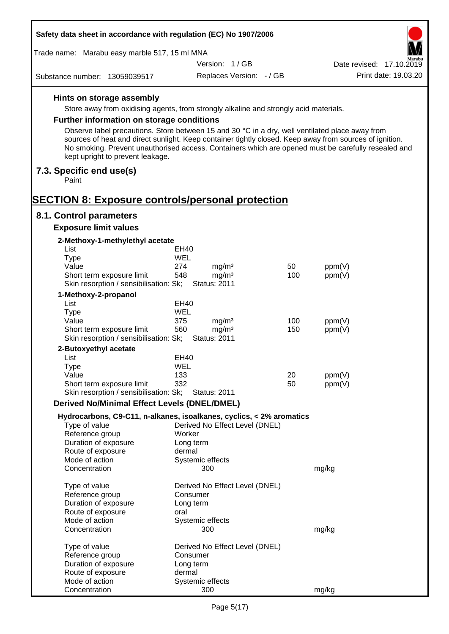| Safety data sheet in accordance with regulation (EC) No 1907/2006                                                                                                                                                                                                                                                                                     |                                                      |                          |        |                          |
|-------------------------------------------------------------------------------------------------------------------------------------------------------------------------------------------------------------------------------------------------------------------------------------------------------------------------------------------------------|------------------------------------------------------|--------------------------|--------|--------------------------|
| Trade name: Marabu easy marble 517, 15 ml MNA                                                                                                                                                                                                                                                                                                         |                                                      |                          |        |                          |
|                                                                                                                                                                                                                                                                                                                                                       | Version: 1/GB                                        |                          |        | Date revised: 17.10.2019 |
| Substance number: 13059039517                                                                                                                                                                                                                                                                                                                         |                                                      | Replaces Version: - / GB |        | Print date: 19.03.20     |
| Hints on storage assembly                                                                                                                                                                                                                                                                                                                             |                                                      |                          |        |                          |
| Store away from oxidising agents, from strongly alkaline and strongly acid materials.                                                                                                                                                                                                                                                                 |                                                      |                          |        |                          |
| Further information on storage conditions                                                                                                                                                                                                                                                                                                             |                                                      |                          |        |                          |
| Observe label precautions. Store between 15 and 30 °C in a dry, well ventilated place away from<br>sources of heat and direct sunlight. Keep container tightly closed. Keep away from sources of ignition.<br>No smoking. Prevent unauthorised access. Containers which are opened must be carefully resealed and<br>kept upright to prevent leakage. |                                                      |                          |        |                          |
| 7.3. Specific end use(s)<br>Paint                                                                                                                                                                                                                                                                                                                     |                                                      |                          |        |                          |
| <b>SECTION 8: Exposure controls/personal protection</b>                                                                                                                                                                                                                                                                                               |                                                      |                          |        |                          |
| 8.1. Control parameters                                                                                                                                                                                                                                                                                                                               |                                                      |                          |        |                          |
| <b>Exposure limit values</b>                                                                                                                                                                                                                                                                                                                          |                                                      |                          |        |                          |
| 2-Methoxy-1-methylethyl acetate                                                                                                                                                                                                                                                                                                                       |                                                      |                          |        |                          |
| List                                                                                                                                                                                                                                                                                                                                                  | EH40                                                 |                          |        |                          |
| <b>Type</b>                                                                                                                                                                                                                                                                                                                                           | WEL                                                  |                          |        |                          |
| Value                                                                                                                                                                                                                                                                                                                                                 | 274<br>mg/m <sup>3</sup><br>mg/m <sup>3</sup><br>548 | 50<br>100                | ppm(V) |                          |
| Short term exposure limit<br>Skin resorption / sensibilisation: Sk;                                                                                                                                                                                                                                                                                   | <b>Status: 2011</b>                                  |                          | ppm(V) |                          |
| 1-Methoxy-2-propanol                                                                                                                                                                                                                                                                                                                                  |                                                      |                          |        |                          |
| List                                                                                                                                                                                                                                                                                                                                                  | EH40                                                 |                          |        |                          |
| <b>Type</b>                                                                                                                                                                                                                                                                                                                                           | WEL                                                  |                          |        |                          |
| Value                                                                                                                                                                                                                                                                                                                                                 | 375<br>mg/m <sup>3</sup>                             | 100                      | ppm(V) |                          |
| Short term exposure limit                                                                                                                                                                                                                                                                                                                             | mg/m <sup>3</sup><br>560                             | 150                      | ppm(V) |                          |
| Skin resorption / sensibilisation: Sk;                                                                                                                                                                                                                                                                                                                | <b>Status: 2011</b>                                  |                          |        |                          |
| 2-Butoxyethyl acetate<br>List                                                                                                                                                                                                                                                                                                                         | EH40                                                 |                          |        |                          |
| <b>Type</b>                                                                                                                                                                                                                                                                                                                                           | <b>WEL</b>                                           |                          |        |                          |
| Value                                                                                                                                                                                                                                                                                                                                                 | 133                                                  | 20                       | ppm(V) |                          |
| Short term exposure limit                                                                                                                                                                                                                                                                                                                             | 332                                                  | 50                       | ppm(V) |                          |
| Skin resorption / sensibilisation: Sk;                                                                                                                                                                                                                                                                                                                | <b>Status: 2011</b>                                  |                          |        |                          |
| <b>Derived No/Minimal Effect Levels (DNEL/DMEL)</b>                                                                                                                                                                                                                                                                                                   |                                                      |                          |        |                          |
| Hydrocarbons, C9-C11, n-alkanes, isoalkanes, cyclics, < 2% aromatics                                                                                                                                                                                                                                                                                  |                                                      |                          |        |                          |
| Type of value                                                                                                                                                                                                                                                                                                                                         | Derived No Effect Level (DNEL)                       |                          |        |                          |
| Reference group                                                                                                                                                                                                                                                                                                                                       | Worker                                               |                          |        |                          |
| Duration of exposure<br>Route of exposure                                                                                                                                                                                                                                                                                                             | Long term<br>dermal                                  |                          |        |                          |
| Mode of action                                                                                                                                                                                                                                                                                                                                        | Systemic effects                                     |                          |        |                          |
| Concentration                                                                                                                                                                                                                                                                                                                                         | 300                                                  |                          | mg/kg  |                          |
| Type of value                                                                                                                                                                                                                                                                                                                                         | Derived No Effect Level (DNEL)                       |                          |        |                          |
| Reference group                                                                                                                                                                                                                                                                                                                                       | Consumer                                             |                          |        |                          |
| Duration of exposure                                                                                                                                                                                                                                                                                                                                  | Long term                                            |                          |        |                          |
| Route of exposure                                                                                                                                                                                                                                                                                                                                     | oral                                                 |                          |        |                          |
| Mode of action                                                                                                                                                                                                                                                                                                                                        | Systemic effects                                     |                          |        |                          |
| Concentration                                                                                                                                                                                                                                                                                                                                         | 300                                                  |                          | mg/kg  |                          |
| Type of value                                                                                                                                                                                                                                                                                                                                         | Derived No Effect Level (DNEL)                       |                          |        |                          |
| Reference group                                                                                                                                                                                                                                                                                                                                       | Consumer                                             |                          |        |                          |
| Duration of exposure                                                                                                                                                                                                                                                                                                                                  | Long term                                            |                          |        |                          |
| Route of exposure                                                                                                                                                                                                                                                                                                                                     | dermal                                               |                          |        |                          |
| Mode of action                                                                                                                                                                                                                                                                                                                                        | Systemic effects                                     |                          |        |                          |
| Concentration                                                                                                                                                                                                                                                                                                                                         | 300                                                  |                          | mg/kg  |                          |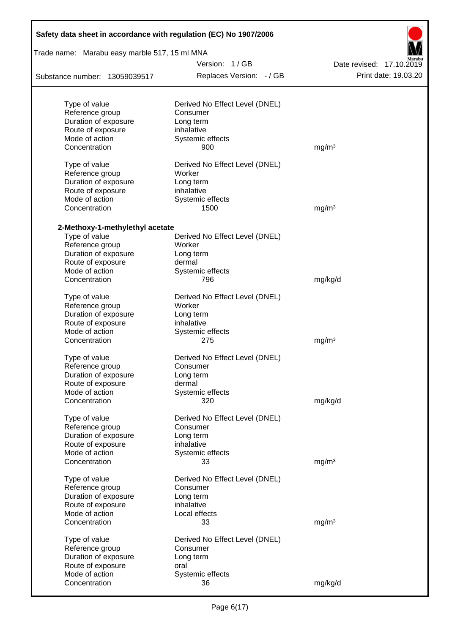| Safety data sheet in accordance with regulation (EC) No 1907/2006 |                                |                          |  |  |  |
|-------------------------------------------------------------------|--------------------------------|--------------------------|--|--|--|
| Trade name: Marabu easy marble 517, 15 ml MNA                     | Version: 1/GB                  |                          |  |  |  |
|                                                                   |                                | Date revised: 17.10.2019 |  |  |  |
| Substance number: 13059039517                                     | Replaces Version: - / GB       | Print date: 19.03.20     |  |  |  |
| Type of value                                                     | Derived No Effect Level (DNEL) |                          |  |  |  |
| Reference group                                                   | Consumer                       |                          |  |  |  |
| Duration of exposure                                              | Long term                      |                          |  |  |  |
| Route of exposure                                                 | inhalative                     |                          |  |  |  |
| Mode of action                                                    | Systemic effects               |                          |  |  |  |
| Concentration                                                     | 900                            | mg/m <sup>3</sup>        |  |  |  |
| Type of value                                                     | Derived No Effect Level (DNEL) |                          |  |  |  |
| Reference group                                                   | Worker                         |                          |  |  |  |
| Duration of exposure                                              | Long term                      |                          |  |  |  |
| Route of exposure                                                 | inhalative                     |                          |  |  |  |
| Mode of action                                                    | Systemic effects               |                          |  |  |  |
| Concentration                                                     | 1500                           | mg/m <sup>3</sup>        |  |  |  |
| 2-Methoxy-1-methylethyl acetate                                   |                                |                          |  |  |  |
| Type of value                                                     | Derived No Effect Level (DNEL) |                          |  |  |  |
| Reference group                                                   | Worker                         |                          |  |  |  |
| Duration of exposure                                              | Long term                      |                          |  |  |  |
| Route of exposure                                                 | dermal                         |                          |  |  |  |
| Mode of action                                                    | Systemic effects               |                          |  |  |  |
| Concentration                                                     | 796                            | mg/kg/d                  |  |  |  |
| Type of value                                                     | Derived No Effect Level (DNEL) |                          |  |  |  |
| Reference group                                                   | Worker                         |                          |  |  |  |
| Duration of exposure                                              | Long term                      |                          |  |  |  |
| Route of exposure                                                 | inhalative                     |                          |  |  |  |
| Mode of action                                                    | Systemic effects               |                          |  |  |  |
| Concentration                                                     | 275                            | mg/m <sup>3</sup>        |  |  |  |
| Type of value                                                     | Derived No Effect Level (DNEL) |                          |  |  |  |
| Reference group                                                   | Consumer                       |                          |  |  |  |
| Duration of exposure                                              | Long term                      |                          |  |  |  |
| Route of exposure                                                 | dermal                         |                          |  |  |  |
| Mode of action                                                    | Systemic effects               |                          |  |  |  |
| Concentration                                                     | 320                            | mg/kg/d                  |  |  |  |
| Type of value                                                     | Derived No Effect Level (DNEL) |                          |  |  |  |
| Reference group                                                   | Consumer                       |                          |  |  |  |
| Duration of exposure                                              | Long term                      |                          |  |  |  |
| Route of exposure                                                 | inhalative                     |                          |  |  |  |
| Mode of action                                                    | Systemic effects               |                          |  |  |  |
| Concentration                                                     | 33                             | mg/m <sup>3</sup>        |  |  |  |
| Type of value                                                     | Derived No Effect Level (DNEL) |                          |  |  |  |
| Reference group                                                   | Consumer                       |                          |  |  |  |
| Duration of exposure                                              | Long term                      |                          |  |  |  |
| Route of exposure                                                 | inhalative                     |                          |  |  |  |
| Mode of action                                                    | Local effects                  |                          |  |  |  |
| Concentration                                                     | 33                             | mg/m <sup>3</sup>        |  |  |  |
| Type of value                                                     | Derived No Effect Level (DNEL) |                          |  |  |  |
| Reference group                                                   | Consumer                       |                          |  |  |  |
| Duration of exposure                                              | Long term                      |                          |  |  |  |
| Route of exposure                                                 | oral                           |                          |  |  |  |
| Mode of action                                                    | Systemic effects               |                          |  |  |  |
| Concentration                                                     | 36                             | mg/kg/d                  |  |  |  |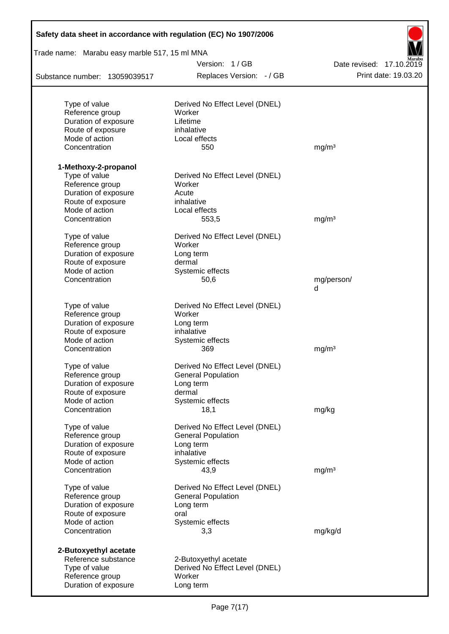| Safety data sheet in accordance with regulation (EC) No 1907/2006 |                                |                          |
|-------------------------------------------------------------------|--------------------------------|--------------------------|
| Trade name: Marabu easy marble 517, 15 ml MNA                     |                                |                          |
|                                                                   | Version: 1/GB                  | Date revised: 17.10.2019 |
| Substance number: 13059039517                                     | Replaces Version: - / GB       | Print date: 19.03.20     |
| Type of value                                                     | Derived No Effect Level (DNEL) |                          |
| Reference group                                                   | Worker                         |                          |
| Duration of exposure                                              | Lifetime                       |                          |
| Route of exposure                                                 | inhalative                     |                          |
| Mode of action                                                    | Local effects                  |                          |
| Concentration                                                     | 550                            | mg/m <sup>3</sup>        |
| 1-Methoxy-2-propanol                                              |                                |                          |
| Type of value                                                     | Derived No Effect Level (DNEL) |                          |
| Reference group                                                   | Worker                         |                          |
| Duration of exposure                                              | Acute                          |                          |
| Route of exposure                                                 | inhalative                     |                          |
| Mode of action                                                    | Local effects                  |                          |
| Concentration                                                     | 553,5                          | mg/m <sup>3</sup>        |
| Type of value                                                     | Derived No Effect Level (DNEL) |                          |
| Reference group                                                   | Worker                         |                          |
| Duration of exposure                                              | Long term                      |                          |
| Route of exposure                                                 | dermal                         |                          |
| Mode of action                                                    | Systemic effects               |                          |
| Concentration                                                     | 50,6                           | mg/person/<br>d          |
|                                                                   |                                |                          |
| Type of value                                                     | Derived No Effect Level (DNEL) |                          |
| Reference group                                                   | Worker                         |                          |
| Duration of exposure                                              | Long term                      |                          |
| Route of exposure                                                 | inhalative                     |                          |
| Mode of action                                                    | Systemic effects               |                          |
| Concentration                                                     | 369                            | mg/m <sup>3</sup>        |
| Type of value                                                     | Derived No Effect Level (DNEL) |                          |
| Reference group                                                   | <b>General Population</b>      |                          |
| Duration of exposure                                              | Long term                      |                          |
| Route of exposure                                                 | dermal                         |                          |
| Mode of action                                                    | Systemic effects               |                          |
| Concentration                                                     | 18,1                           | mg/kg                    |
| Type of value                                                     | Derived No Effect Level (DNEL) |                          |
| Reference group                                                   | <b>General Population</b>      |                          |
| Duration of exposure                                              | Long term                      |                          |
| Route of exposure                                                 | inhalative                     |                          |
| Mode of action                                                    | Systemic effects               |                          |
| Concentration                                                     | 43,9                           | mg/m <sup>3</sup>        |
| Type of value                                                     | Derived No Effect Level (DNEL) |                          |
| Reference group                                                   | <b>General Population</b>      |                          |
| Duration of exposure                                              | Long term                      |                          |
| Route of exposure                                                 | oral                           |                          |
| Mode of action                                                    | Systemic effects               |                          |
| Concentration                                                     | 3,3                            | mg/kg/d                  |
| 2-Butoxyethyl acetate                                             |                                |                          |
| Reference substance                                               | 2-Butoxyethyl acetate          |                          |
| Type of value                                                     | Derived No Effect Level (DNEL) |                          |
| Reference group                                                   | Worker                         |                          |
| Duration of exposure                                              | Long term                      |                          |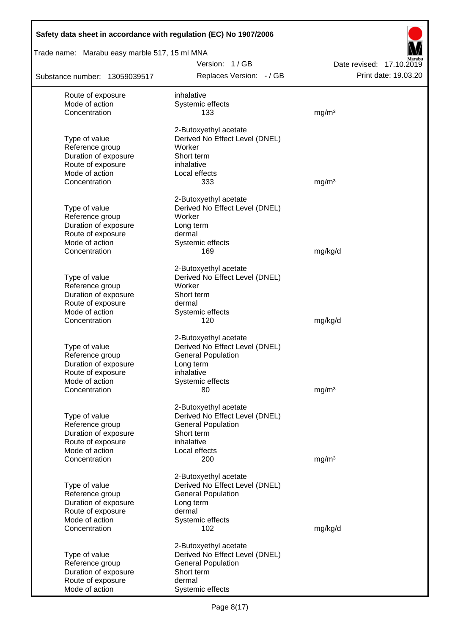| Safety data sheet in accordance with regulation (EC) No 1907/2006 |                                |                          |
|-------------------------------------------------------------------|--------------------------------|--------------------------|
| Trade name: Marabu easy marble 517, 15 ml MNA                     |                                |                          |
|                                                                   | Version: 1/GB                  | Date revised: 17.10.2019 |
| Substance number: 13059039517                                     | Replaces Version: - / GB       | Print date: 19.03.20     |
| Route of exposure                                                 | inhalative                     |                          |
| Mode of action                                                    | Systemic effects               |                          |
| Concentration                                                     | 133                            | mg/m <sup>3</sup>        |
|                                                                   | 2-Butoxyethyl acetate          |                          |
| Type of value                                                     | Derived No Effect Level (DNEL) |                          |
| Reference group                                                   | Worker                         |                          |
| Duration of exposure                                              | Short term                     |                          |
| Route of exposure                                                 | inhalative                     |                          |
| Mode of action                                                    | Local effects                  |                          |
| Concentration                                                     | 333                            | mg/m <sup>3</sup>        |
|                                                                   | 2-Butoxyethyl acetate          |                          |
| Type of value                                                     | Derived No Effect Level (DNEL) |                          |
| Reference group                                                   | Worker                         |                          |
| Duration of exposure                                              | Long term                      |                          |
| Route of exposure                                                 | dermal                         |                          |
| Mode of action<br>Concentration                                   | Systemic effects<br>169        |                          |
|                                                                   |                                | mg/kg/d                  |
|                                                                   | 2-Butoxyethyl acetate          |                          |
| Type of value                                                     | Derived No Effect Level (DNEL) |                          |
| Reference group                                                   | Worker                         |                          |
| Duration of exposure                                              | Short term                     |                          |
| Route of exposure                                                 | dermal                         |                          |
| Mode of action                                                    | Systemic effects               |                          |
| Concentration                                                     | 120                            | mg/kg/d                  |
|                                                                   | 2-Butoxyethyl acetate          |                          |
| Type of value                                                     | Derived No Effect Level (DNEL) |                          |
| Reference group                                                   | <b>General Population</b>      |                          |
| Duration of exposure                                              | Long term                      |                          |
| Route of exposure                                                 | inhalative                     |                          |
| Mode of action<br>Concentration                                   | Systemic effects<br>80         | mg/m <sup>3</sup>        |
|                                                                   |                                |                          |
|                                                                   | 2-Butoxyethyl acetate          |                          |
| Type of value                                                     | Derived No Effect Level (DNEL) |                          |
| Reference group                                                   | <b>General Population</b>      |                          |
| Duration of exposure                                              | Short term                     |                          |
| Route of exposure                                                 | inhalative                     |                          |
| Mode of action<br>Concentration                                   | Local effects<br>200           | mg/m <sup>3</sup>        |
|                                                                   |                                |                          |
|                                                                   | 2-Butoxyethyl acetate          |                          |
| Type of value                                                     | Derived No Effect Level (DNEL) |                          |
| Reference group                                                   | <b>General Population</b>      |                          |
| Duration of exposure                                              | Long term                      |                          |
| Route of exposure                                                 | dermal                         |                          |
| Mode of action                                                    | Systemic effects               |                          |
| Concentration                                                     | 102                            | mg/kg/d                  |
|                                                                   | 2-Butoxyethyl acetate          |                          |
| Type of value                                                     | Derived No Effect Level (DNEL) |                          |
| Reference group                                                   | <b>General Population</b>      |                          |
| Duration of exposure                                              | Short term                     |                          |
| Route of exposure                                                 | dermal                         |                          |
| Mode of action                                                    | Systemic effects               |                          |

Г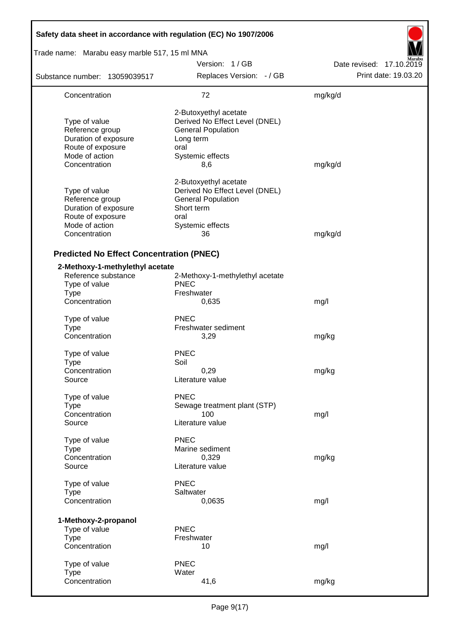| Safety data sheet in accordance with regulation (EC) No 1907/2006                                                |                                                                                                                                      |                          |
|------------------------------------------------------------------------------------------------------------------|--------------------------------------------------------------------------------------------------------------------------------------|--------------------------|
| Trade name: Marabu easy marble 517, 15 ml MNA                                                                    |                                                                                                                                      |                          |
|                                                                                                                  | Version: 1/GB                                                                                                                        | Date revised: 17.10.2019 |
| Substance number: 13059039517                                                                                    | Replaces Version: - / GB                                                                                                             | Print date: 19.03.20     |
| Concentration                                                                                                    | 72                                                                                                                                   | mg/kg/d                  |
| Type of value<br>Reference group<br>Duration of exposure<br>Route of exposure<br>Mode of action<br>Concentration | 2-Butoxyethyl acetate<br>Derived No Effect Level (DNEL)<br><b>General Population</b><br>Long term<br>oral<br>Systemic effects<br>8,6 | mg/kg/d                  |
| Type of value<br>Reference group<br>Duration of exposure<br>Route of exposure<br>Mode of action<br>Concentration | 2-Butoxyethyl acetate<br>Derived No Effect Level (DNEL)<br><b>General Population</b><br>Short term<br>oral<br>Systemic effects<br>36 | mg/kg/d                  |
| <b>Predicted No Effect Concentration (PNEC)</b>                                                                  |                                                                                                                                      |                          |
| 2-Methoxy-1-methylethyl acetate<br>Reference substance<br>Type of value<br><b>Type</b><br>Concentration          | 2-Methoxy-1-methylethyl acetate<br><b>PNEC</b><br>Freshwater<br>0,635                                                                | mg/l                     |
| Type of value<br><b>Type</b><br>Concentration                                                                    | <b>PNEC</b><br>Freshwater sediment<br>3,29                                                                                           | mg/kg                    |
| Type of value<br>Type<br>Concentration<br>Source                                                                 | <b>PNEC</b><br>Soil<br>0,29<br>Literature value                                                                                      | mg/kg                    |
| Type of value<br><b>Type</b><br>Concentration<br>Source                                                          | <b>PNEC</b><br>Sewage treatment plant (STP)<br>100<br>Literature value                                                               | mg/l                     |
| Type of value<br><b>Type</b><br>Concentration<br>Source                                                          | <b>PNEC</b><br>Marine sediment<br>0,329<br>Literature value                                                                          | mg/kg                    |
| Type of value<br><b>Type</b><br>Concentration                                                                    | <b>PNEC</b><br>Saltwater<br>0,0635                                                                                                   | mg/l                     |
| 1-Methoxy-2-propanol<br>Type of value<br><b>Type</b><br>Concentration                                            | <b>PNEC</b><br>Freshwater<br>10                                                                                                      | mg/l                     |
| Type of value<br><b>Type</b><br>Concentration                                                                    | <b>PNEC</b><br>Water<br>41,6                                                                                                         | mg/kg                    |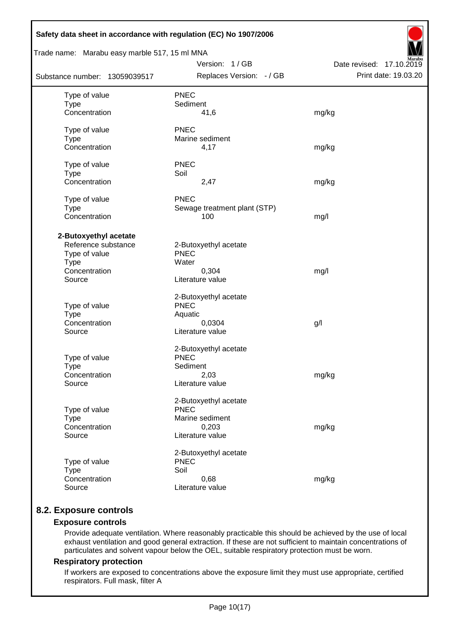| Safety data sheet in accordance with regulation (EC) No 1907/2006                                       |                                                                                      |                          |
|---------------------------------------------------------------------------------------------------------|--------------------------------------------------------------------------------------|--------------------------|
| Trade name: Marabu easy marble 517, 15 ml MNA                                                           | Version: 1/GB                                                                        | Date revised: 17.10.2019 |
| Substance number: 13059039517                                                                           | Replaces Version: - / GB                                                             | Print date: 19.03.20     |
| Type of value<br><b>Type</b><br>Concentration                                                           | <b>PNEC</b><br>Sediment<br>41,6                                                      | mg/kg                    |
| Type of value<br><b>Type</b><br>Concentration                                                           | <b>PNEC</b><br>Marine sediment<br>4,17                                               | mg/kg                    |
| Type of value<br><b>Type</b><br>Concentration                                                           | <b>PNEC</b><br>Soil<br>2,47                                                          | mg/kg                    |
| Type of value<br><b>Type</b><br>Concentration                                                           | <b>PNEC</b><br>Sewage treatment plant (STP)<br>100                                   | mg/l                     |
| 2-Butoxyethyl acetate<br>Reference substance<br>Type of value<br><b>Type</b><br>Concentration<br>Source | 2-Butoxyethyl acetate<br><b>PNEC</b><br>Water<br>0,304<br>Literature value           | mg/l                     |
| Type of value<br><b>Type</b><br>Concentration<br>Source                                                 | 2-Butoxyethyl acetate<br><b>PNEC</b><br>Aquatic<br>0,0304<br>Literature value        | g/                       |
| Type of value<br><b>Type</b><br>Concentration<br>Source                                                 | 2-Butoxyethyl acetate<br><b>PNEC</b><br>Sediment<br>2,03<br>Literature value         | mg/kg                    |
| Type of value<br><b>Type</b><br>Concentration<br>Source                                                 | 2-Butoxyethyl acetate<br><b>PNEC</b><br>Marine sediment<br>0,203<br>Literature value | mg/kg                    |
| Type of value<br><b>Type</b><br>Concentration<br>Source                                                 | 2-Butoxyethyl acetate<br><b>PNEC</b><br>Soil<br>0,68<br>Literature value             | mg/kg                    |

# **8.2. Exposure controls**

# **Exposure controls**

Provide adequate ventilation. Where reasonably practicable this should be achieved by the use of local exhaust ventilation and good general extraction. If these are not sufficient to maintain concentrations of particulates and solvent vapour below the OEL, suitable respiratory protection must be worn.

## **Respiratory protection**

If workers are exposed to concentrations above the exposure limit they must use appropriate, certified respirators. Full mask, filter A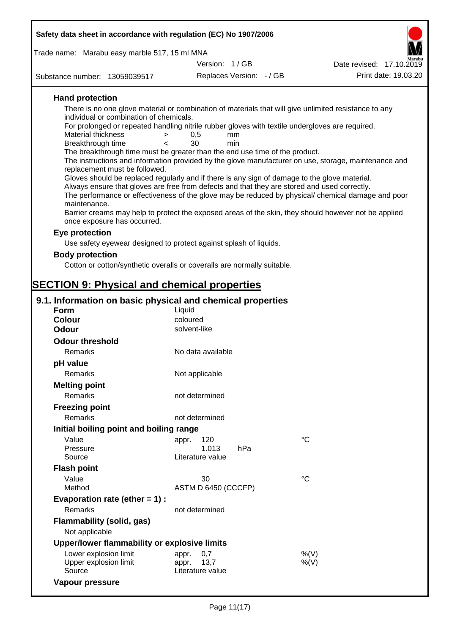| Safety data sheet in accordance with regulation (EC) No 1907/2006                                                                                                                                          |                                                                                                                                                                                                                                                                                                                                                                                                                                                                                                                                                                                                                                                                                                                                                                                                                                          |                          |
|------------------------------------------------------------------------------------------------------------------------------------------------------------------------------------------------------------|------------------------------------------------------------------------------------------------------------------------------------------------------------------------------------------------------------------------------------------------------------------------------------------------------------------------------------------------------------------------------------------------------------------------------------------------------------------------------------------------------------------------------------------------------------------------------------------------------------------------------------------------------------------------------------------------------------------------------------------------------------------------------------------------------------------------------------------|--------------------------|
|                                                                                                                                                                                                            |                                                                                                                                                                                                                                                                                                                                                                                                                                                                                                                                                                                                                                                                                                                                                                                                                                          |                          |
| Trade name: Marabu easy marble 517, 15 ml MNA                                                                                                                                                              |                                                                                                                                                                                                                                                                                                                                                                                                                                                                                                                                                                                                                                                                                                                                                                                                                                          |                          |
|                                                                                                                                                                                                            | Version: 1/GB                                                                                                                                                                                                                                                                                                                                                                                                                                                                                                                                                                                                                                                                                                                                                                                                                            | Date revised: 17.10.2019 |
| Substance number: 13059039517                                                                                                                                                                              | Replaces Version: - / GB                                                                                                                                                                                                                                                                                                                                                                                                                                                                                                                                                                                                                                                                                                                                                                                                                 | Print date: 19.03.20     |
| <b>Hand protection</b><br>individual or combination of chemicals.<br><b>Material thickness</b><br>$\geq$<br>Breakthrough time<br>$\overline{\phantom{0}}$<br>replacement must be followed.<br>maintenance. | There is no one glove material or combination of materials that will give unlimited resistance to any<br>For prolonged or repeated handling nitrile rubber gloves with textile undergloves are required.<br>0,5<br>mm<br>30<br>min<br>The breakthrough time must be greater than the end use time of the product.<br>The instructions and information provided by the glove manufacturer on use, storage, maintenance and<br>Gloves should be replaced regularly and if there is any sign of damage to the glove material.<br>Always ensure that gloves are free from defects and that they are stored and used correctly.<br>The performance or effectiveness of the glove may be reduced by physical/ chemical damage and poor<br>Barrier creams may help to protect the exposed areas of the skin, they should however not be applied |                          |
| once exposure has occurred.                                                                                                                                                                                |                                                                                                                                                                                                                                                                                                                                                                                                                                                                                                                                                                                                                                                                                                                                                                                                                                          |                          |
| Eye protection                                                                                                                                                                                             |                                                                                                                                                                                                                                                                                                                                                                                                                                                                                                                                                                                                                                                                                                                                                                                                                                          |                          |
|                                                                                                                                                                                                            | Use safety eyewear designed to protect against splash of liquids.                                                                                                                                                                                                                                                                                                                                                                                                                                                                                                                                                                                                                                                                                                                                                                        |                          |
| <b>Body protection</b>                                                                                                                                                                                     |                                                                                                                                                                                                                                                                                                                                                                                                                                                                                                                                                                                                                                                                                                                                                                                                                                          |                          |
|                                                                                                                                                                                                            | Cotton or cotton/synthetic overalls or coveralls are normally suitable.                                                                                                                                                                                                                                                                                                                                                                                                                                                                                                                                                                                                                                                                                                                                                                  |                          |
|                                                                                                                                                                                                            |                                                                                                                                                                                                                                                                                                                                                                                                                                                                                                                                                                                                                                                                                                                                                                                                                                          |                          |
| <b>SECTION 9: Physical and chemical properties</b>                                                                                                                                                         |                                                                                                                                                                                                                                                                                                                                                                                                                                                                                                                                                                                                                                                                                                                                                                                                                                          |                          |
| 9.1. Information on basic physical and chemical properties                                                                                                                                                 |                                                                                                                                                                                                                                                                                                                                                                                                                                                                                                                                                                                                                                                                                                                                                                                                                                          |                          |
| Form                                                                                                                                                                                                       | Liquid                                                                                                                                                                                                                                                                                                                                                                                                                                                                                                                                                                                                                                                                                                                                                                                                                                   |                          |
| <b>Colour</b>                                                                                                                                                                                              | coloured                                                                                                                                                                                                                                                                                                                                                                                                                                                                                                                                                                                                                                                                                                                                                                                                                                 |                          |
| Odour                                                                                                                                                                                                      | solvent-like                                                                                                                                                                                                                                                                                                                                                                                                                                                                                                                                                                                                                                                                                                                                                                                                                             |                          |
| <b>Odour threshold</b>                                                                                                                                                                                     |                                                                                                                                                                                                                                                                                                                                                                                                                                                                                                                                                                                                                                                                                                                                                                                                                                          |                          |
| Remarks                                                                                                                                                                                                    | No data available                                                                                                                                                                                                                                                                                                                                                                                                                                                                                                                                                                                                                                                                                                                                                                                                                        |                          |
| pH value                                                                                                                                                                                                   |                                                                                                                                                                                                                                                                                                                                                                                                                                                                                                                                                                                                                                                                                                                                                                                                                                          |                          |
| Remarks                                                                                                                                                                                                    | Not applicable                                                                                                                                                                                                                                                                                                                                                                                                                                                                                                                                                                                                                                                                                                                                                                                                                           |                          |
| <b>Melting point</b>                                                                                                                                                                                       |                                                                                                                                                                                                                                                                                                                                                                                                                                                                                                                                                                                                                                                                                                                                                                                                                                          |                          |
| Remarks                                                                                                                                                                                                    | not determined                                                                                                                                                                                                                                                                                                                                                                                                                                                                                                                                                                                                                                                                                                                                                                                                                           |                          |
| <b>Freezing point</b>                                                                                                                                                                                      |                                                                                                                                                                                                                                                                                                                                                                                                                                                                                                                                                                                                                                                                                                                                                                                                                                          |                          |
| <b>Remarks</b>                                                                                                                                                                                             | not determined                                                                                                                                                                                                                                                                                                                                                                                                                                                                                                                                                                                                                                                                                                                                                                                                                           |                          |
| Initial boiling point and boiling range                                                                                                                                                                    |                                                                                                                                                                                                                                                                                                                                                                                                                                                                                                                                                                                                                                                                                                                                                                                                                                          |                          |
| Value<br>Pressure<br>Source                                                                                                                                                                                | 120<br>appr.<br>1.013<br>hPa<br>Literature value                                                                                                                                                                                                                                                                                                                                                                                                                                                                                                                                                                                                                                                                                                                                                                                         | $^{\circ}C$              |
| <b>Flash point</b>                                                                                                                                                                                         |                                                                                                                                                                                                                                                                                                                                                                                                                                                                                                                                                                                                                                                                                                                                                                                                                                          |                          |
| Value<br>Method                                                                                                                                                                                            | 30<br>ASTM D 6450 (CCCFP)                                                                                                                                                                                                                                                                                                                                                                                                                                                                                                                                                                                                                                                                                                                                                                                                                | $^{\circ}C$              |
| Evaporation rate (ether $= 1$ ) :                                                                                                                                                                          |                                                                                                                                                                                                                                                                                                                                                                                                                                                                                                                                                                                                                                                                                                                                                                                                                                          |                          |
| Remarks                                                                                                                                                                                                    | not determined                                                                                                                                                                                                                                                                                                                                                                                                                                                                                                                                                                                                                                                                                                                                                                                                                           |                          |
|                                                                                                                                                                                                            |                                                                                                                                                                                                                                                                                                                                                                                                                                                                                                                                                                                                                                                                                                                                                                                                                                          |                          |
| <b>Flammability (solid, gas)</b><br>Not applicable                                                                                                                                                         |                                                                                                                                                                                                                                                                                                                                                                                                                                                                                                                                                                                                                                                                                                                                                                                                                                          |                          |
| Upper/lower flammability or explosive limits                                                                                                                                                               |                                                                                                                                                                                                                                                                                                                                                                                                                                                                                                                                                                                                                                                                                                                                                                                                                                          |                          |

| <u>Opper/lower Hammability or explosive limits</u> |                  |         |
|----------------------------------------------------|------------------|---------|
| Lower explosion limit                              | appr. 0.7        | %(V)    |
| Upper explosion limit                              | appr. 13.7       | $%$ (V) |
| Source                                             | Literature value |         |
| Vapour pressure                                    |                  |         |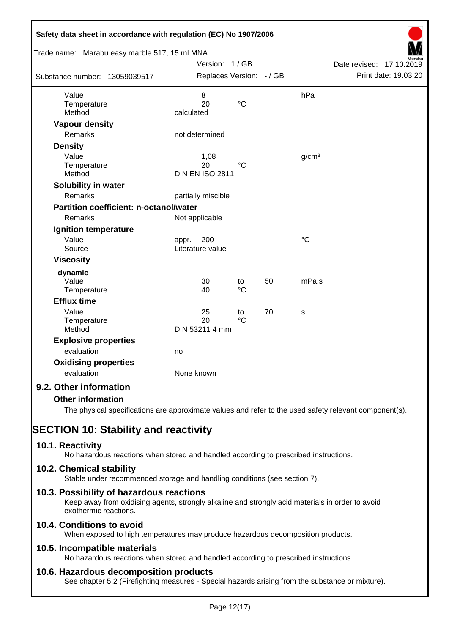| Safety data sheet in accordance with regulation (EC) No 1907/2006<br>Trade name: Marabu easy marble 517, 15 ml MNA |                                      |                       |    |                   |                          |
|--------------------------------------------------------------------------------------------------------------------|--------------------------------------|-----------------------|----|-------------------|--------------------------|
|                                                                                                                    | Version: 1/GB                        |                       |    |                   | Date revised: 17.10.2019 |
| Substance number: 13059039517                                                                                      | Replaces Version: - / GB             |                       |    |                   | Print date: 19.03.20     |
| Value<br>Temperature<br>Method                                                                                     | 8<br>20<br>calculated                | $\rm ^{\circ}C$       |    | hPa               |                          |
| <b>Vapour density</b>                                                                                              |                                      |                       |    |                   |                          |
| Remarks                                                                                                            | not determined                       |                       |    |                   |                          |
| <b>Density</b>                                                                                                     |                                      |                       |    |                   |                          |
| Value<br>Temperature<br>Method                                                                                     | 1,08<br>20<br><b>DIN EN ISO 2811</b> | $^{\circ}C$           |    | g/cm <sup>3</sup> |                          |
| Solubility in water                                                                                                |                                      |                       |    |                   |                          |
| Remarks                                                                                                            | partially miscible                   |                       |    |                   |                          |
| <b>Partition coefficient: n-octanol/water</b>                                                                      |                                      |                       |    |                   |                          |
| Remarks                                                                                                            | Not applicable                       |                       |    |                   |                          |
| Ignition temperature                                                                                               |                                      |                       |    |                   |                          |
| Value<br>Source                                                                                                    | 200<br>appr.<br>Literature value     |                       |    | $\rm ^{\circ}C$   |                          |
| <b>Viscosity</b>                                                                                                   |                                      |                       |    |                   |                          |
| dynamic<br>Value<br>Temperature                                                                                    | 30<br>40                             | to<br>$^{\circ}C$     | 50 | mPa.s             |                          |
| <b>Efflux time</b>                                                                                                 |                                      |                       |    |                   |                          |
| Value<br>Temperature<br>Method                                                                                     | 25<br>20<br>DIN 53211 4 mm           | to<br>$\rm ^{\circ}C$ | 70 | s                 |                          |
| <b>Explosive properties</b>                                                                                        |                                      |                       |    |                   |                          |
| evaluation                                                                                                         | no                                   |                       |    |                   |                          |
| <b>Oxidising properties</b><br>evaluation                                                                          | None known                           |                       |    |                   |                          |
| 9.2. Other information                                                                                             |                                      |                       |    |                   |                          |
| <b>Other information</b>                                                                                           |                                      |                       |    |                   |                          |

The physical specifications are approximate values and refer to the used safety relevant component(s).

# **SECTION 10: Stability and reactivity**

# **10.1. Reactivity**

No hazardous reactions when stored and handled according to prescribed instructions.

## **10.2. Chemical stability**

Stable under recommended storage and handling conditions (see section 7).

## **10.3. Possibility of hazardous reactions**

Keep away from oxidising agents, strongly alkaline and strongly acid materials in order to avoid exothermic reactions.

# **10.4. Conditions to avoid**

When exposed to high temperatures may produce hazardous decomposition products.

## **10.5. Incompatible materials**

No hazardous reactions when stored and handled according to prescribed instructions.

## **10.6. Hazardous decomposition products**

See chapter 5.2 (Firefighting measures - Special hazards arising from the substance or mixture).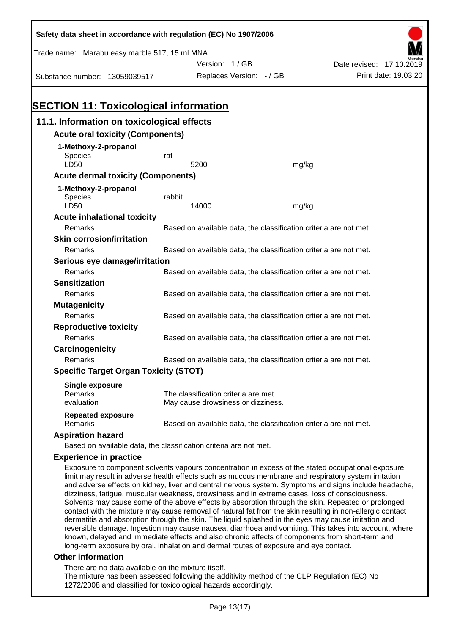| Safety data sheet in accordance with regulation (EC) No 1907/2006                                                                                                                                          |        |                                                                   |       |                                                                                                     |
|------------------------------------------------------------------------------------------------------------------------------------------------------------------------------------------------------------|--------|-------------------------------------------------------------------|-------|-----------------------------------------------------------------------------------------------------|
| Trade name: Marabu easy marble 517, 15 ml MNA                                                                                                                                                              |        |                                                                   |       |                                                                                                     |
|                                                                                                                                                                                                            |        | Version: 1/GB                                                     |       | Date revised: 17.10.2019                                                                            |
| Substance number: 13059039517                                                                                                                                                                              |        | Replaces Version: - / GB                                          |       | Print date: 19.03.20                                                                                |
|                                                                                                                                                                                                            |        |                                                                   |       |                                                                                                     |
|                                                                                                                                                                                                            |        |                                                                   |       |                                                                                                     |
| <b>SECTION 11: Toxicological information</b>                                                                                                                                                               |        |                                                                   |       |                                                                                                     |
| 11.1. Information on toxicological effects                                                                                                                                                                 |        |                                                                   |       |                                                                                                     |
| <b>Acute oral toxicity (Components)</b>                                                                                                                                                                    |        |                                                                   |       |                                                                                                     |
| 1-Methoxy-2-propanol                                                                                                                                                                                       |        |                                                                   |       |                                                                                                     |
| <b>Species</b>                                                                                                                                                                                             | rat    |                                                                   |       |                                                                                                     |
| LD50                                                                                                                                                                                                       |        | 5200                                                              | mg/kg |                                                                                                     |
| <b>Acute dermal toxicity (Components)</b>                                                                                                                                                                  |        |                                                                   |       |                                                                                                     |
| 1-Methoxy-2-propanol                                                                                                                                                                                       |        |                                                                   |       |                                                                                                     |
| Species                                                                                                                                                                                                    | rabbit |                                                                   |       |                                                                                                     |
| LD50                                                                                                                                                                                                       |        | 14000                                                             | mg/kg |                                                                                                     |
| <b>Acute inhalational toxicity</b>                                                                                                                                                                         |        |                                                                   |       |                                                                                                     |
| Remarks                                                                                                                                                                                                    |        | Based on available data, the classification criteria are not met. |       |                                                                                                     |
| <b>Skin corrosion/irritation</b>                                                                                                                                                                           |        |                                                                   |       |                                                                                                     |
| Remarks                                                                                                                                                                                                    |        | Based on available data, the classification criteria are not met. |       |                                                                                                     |
| Serious eye damage/irritation                                                                                                                                                                              |        |                                                                   |       |                                                                                                     |
| Remarks                                                                                                                                                                                                    |        | Based on available data, the classification criteria are not met. |       |                                                                                                     |
| <b>Sensitization</b>                                                                                                                                                                                       |        |                                                                   |       |                                                                                                     |
| Remarks                                                                                                                                                                                                    |        | Based on available data, the classification criteria are not met. |       |                                                                                                     |
| <b>Mutagenicity</b>                                                                                                                                                                                        |        |                                                                   |       |                                                                                                     |
| Remarks                                                                                                                                                                                                    |        | Based on available data, the classification criteria are not met. |       |                                                                                                     |
| <b>Reproductive toxicity</b>                                                                                                                                                                               |        |                                                                   |       |                                                                                                     |
| Remarks                                                                                                                                                                                                    |        | Based on available data, the classification criteria are not met. |       |                                                                                                     |
| Carcinogenicity                                                                                                                                                                                            |        |                                                                   |       |                                                                                                     |
| Remarks                                                                                                                                                                                                    |        | Based on available data, the classification criteria are not met. |       |                                                                                                     |
| <b>Specific Target Organ Toxicity (STOT)</b>                                                                                                                                                               |        |                                                                   |       |                                                                                                     |
| <b>Single exposure</b>                                                                                                                                                                                     |        |                                                                   |       |                                                                                                     |
| Remarks                                                                                                                                                                                                    |        | The classification criteria are met.                              |       |                                                                                                     |
| evaluation                                                                                                                                                                                                 |        | May cause drowsiness or dizziness.                                |       |                                                                                                     |
| <b>Repeated exposure</b>                                                                                                                                                                                   |        |                                                                   |       |                                                                                                     |
| Remarks                                                                                                                                                                                                    |        | Based on available data, the classification criteria are not met. |       |                                                                                                     |
| <b>Aspiration hazard</b>                                                                                                                                                                                   |        |                                                                   |       |                                                                                                     |
| Based on available data, the classification criteria are not met.                                                                                                                                          |        |                                                                   |       |                                                                                                     |
| <b>Experience in practice</b>                                                                                                                                                                              |        |                                                                   |       |                                                                                                     |
| Exposure to component solvents vapours concentration in excess of the stated occupational exposure<br>limit may result in adverse health effects such as mucous membrane and respiratory system irritation |        |                                                                   |       | and adverse effects on kidney liver and control pervous system. Symptoms and signs include beadashe |

and adverse effects on kidney, liver and central nervous system. Symptoms and signs include headache, dizziness, fatigue, muscular weakness, drowsiness and in extreme cases, loss of consciousness. Solvents may cause some of the above effects by absorption through the skin. Repeated or prolonged contact with the mixture may cause removal of natural fat from the skin resulting in non-allergic contact dermatitis and absorption through the skin. The liquid splashed in the eyes may cause irritation and reversible damage. Ingestion may cause nausea, diarrhoea and vomiting. This takes into account, where known, delayed and immediate effects and also chronic effects of components from short-term and long-term exposure by oral, inhalation and dermal routes of exposure and eye contact.

#### **Other information**

There are no data available on the mixture itself.

The mixture has been assessed following the additivity method of the CLP Regulation (EC) No 1272/2008 and classified for toxicological hazards accordingly.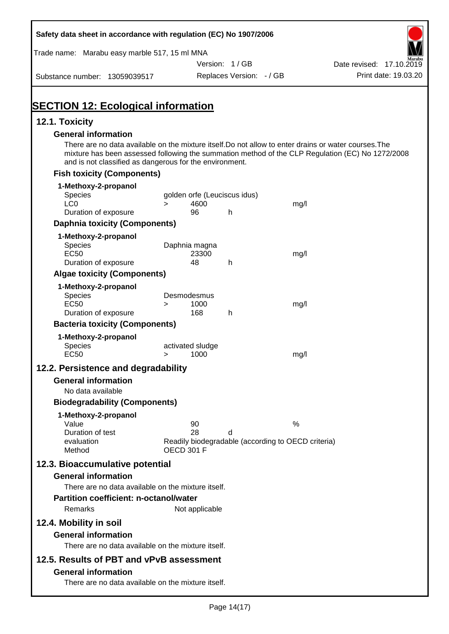| Safety data sheet in accordance with regulation (EC) No 1907/2006                                                                                                |        |                                      |                          |                                                    |                                                                                                  |
|------------------------------------------------------------------------------------------------------------------------------------------------------------------|--------|--------------------------------------|--------------------------|----------------------------------------------------|--------------------------------------------------------------------------------------------------|
| Trade name: Marabu easy marble 517, 15 ml MNA                                                                                                                    |        |                                      |                          |                                                    |                                                                                                  |
|                                                                                                                                                                  |        |                                      | Version: 1/GB            |                                                    | Date revised: 17.10.2019                                                                         |
| Substance number: 13059039517                                                                                                                                    |        |                                      | Replaces Version: - / GB |                                                    | Print date: 19.03.20                                                                             |
| <b>SECTION 12: Ecological information</b>                                                                                                                        |        |                                      |                          |                                                    |                                                                                                  |
| 12.1. Toxicity                                                                                                                                                   |        |                                      |                          |                                                    |                                                                                                  |
| <b>General information</b>                                                                                                                                       |        |                                      |                          |                                                    |                                                                                                  |
| There are no data available on the mixture itself. Do not allow to enter drains or water courses. The<br>and is not classified as dangerous for the environment. |        |                                      |                          |                                                    | mixture has been assessed following the summation method of the CLP Regulation (EC) No 1272/2008 |
| <b>Fish toxicity (Components)</b>                                                                                                                                |        |                                      |                          |                                                    |                                                                                                  |
| 1-Methoxy-2-propanol                                                                                                                                             |        |                                      |                          |                                                    |                                                                                                  |
| <b>Species</b><br>LC <sub>0</sub>                                                                                                                                |        | golden orfe (Leuciscus idus)<br>4600 |                          |                                                    |                                                                                                  |
| Duration of exposure                                                                                                                                             | $\geq$ | 96                                   | h                        | mg/l                                               |                                                                                                  |
| <b>Daphnia toxicity (Components)</b>                                                                                                                             |        |                                      |                          |                                                    |                                                                                                  |
| 1-Methoxy-2-propanol                                                                                                                                             |        |                                      |                          |                                                    |                                                                                                  |
| Species                                                                                                                                                          |        | Daphnia magna                        |                          |                                                    |                                                                                                  |
| <b>EC50</b><br>Duration of exposure                                                                                                                              |        | 23300<br>48                          | h                        | mg/l                                               |                                                                                                  |
| <b>Algae toxicity (Components)</b>                                                                                                                               |        |                                      |                          |                                                    |                                                                                                  |
| 1-Methoxy-2-propanol                                                                                                                                             |        |                                      |                          |                                                    |                                                                                                  |
| Species                                                                                                                                                          |        | Desmodesmus                          |                          |                                                    |                                                                                                  |
| <b>EC50</b>                                                                                                                                                      | $\geq$ | 1000                                 |                          | mg/l                                               |                                                                                                  |
| Duration of exposure<br><b>Bacteria toxicity (Components)</b>                                                                                                    |        | 168                                  | h                        |                                                    |                                                                                                  |
| 1-Methoxy-2-propanol                                                                                                                                             |        |                                      |                          |                                                    |                                                                                                  |
| Species                                                                                                                                                          |        | activated sludge                     |                          |                                                    |                                                                                                  |
| <b>EC50</b>                                                                                                                                                      | $\geq$ | 1000                                 |                          | mg/l                                               |                                                                                                  |
| 12.2. Persistence and degradability                                                                                                                              |        |                                      |                          |                                                    |                                                                                                  |
| <b>General information</b>                                                                                                                                       |        |                                      |                          |                                                    |                                                                                                  |
| No data available                                                                                                                                                |        |                                      |                          |                                                    |                                                                                                  |
| <b>Biodegradability (Components)</b>                                                                                                                             |        |                                      |                          |                                                    |                                                                                                  |
| 1-Methoxy-2-propanol                                                                                                                                             |        |                                      |                          |                                                    |                                                                                                  |
| Value<br>Duration of test                                                                                                                                        |        | 90<br>28                             | d                        | %                                                  |                                                                                                  |
| evaluation                                                                                                                                                       |        |                                      |                          | Readily biodegradable (according to OECD criteria) |                                                                                                  |
| Method                                                                                                                                                           |        | <b>OECD 301 F</b>                    |                          |                                                    |                                                                                                  |
| 12.3. Bioaccumulative potential                                                                                                                                  |        |                                      |                          |                                                    |                                                                                                  |
| <b>General information</b>                                                                                                                                       |        |                                      |                          |                                                    |                                                                                                  |
| There are no data available on the mixture itself.                                                                                                               |        |                                      |                          |                                                    |                                                                                                  |
| <b>Partition coefficient: n-octanol/water</b><br>Remarks                                                                                                         |        |                                      |                          |                                                    |                                                                                                  |
|                                                                                                                                                                  |        | Not applicable                       |                          |                                                    |                                                                                                  |
| 12.4. Mobility in soil                                                                                                                                           |        |                                      |                          |                                                    |                                                                                                  |
| <b>General information</b>                                                                                                                                       |        |                                      |                          |                                                    |                                                                                                  |
| There are no data available on the mixture itself.                                                                                                               |        |                                      |                          |                                                    |                                                                                                  |
| 12.5. Results of PBT and vPvB assessment                                                                                                                         |        |                                      |                          |                                                    |                                                                                                  |
| <b>General information</b><br>There are no data available on the mixture itself.                                                                                 |        |                                      |                          |                                                    |                                                                                                  |
|                                                                                                                                                                  |        |                                      |                          |                                                    |                                                                                                  |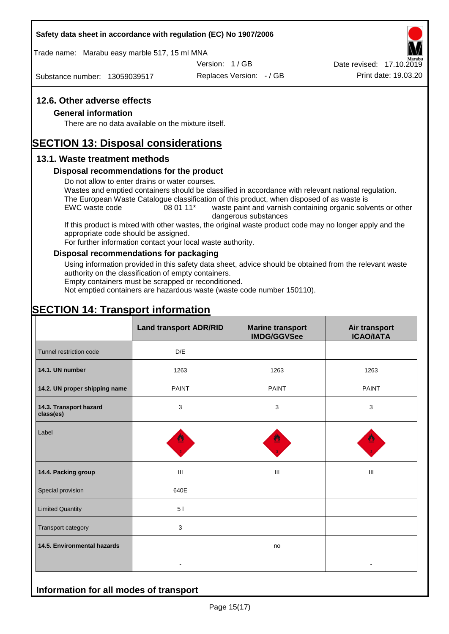#### **Safety data sheet in accordance with regulation (EC) No 1907/2006**

Trade name: Marabu easy marble 517, 15 ml MNA

Version: 1 / GB

Substance number: 13059039517

Replaces Version: - / GB Print date: 19.03.20 Date revised: 17.10.2019

## **12.6. Other adverse effects**

#### **General information**

There are no data available on the mixture itself.

# **SECTION 13: Disposal considerations**

## **13.1. Waste treatment methods**

#### **Disposal recommendations for the product**

Do not allow to enter drains or water courses.

Wastes and emptied containers should be classified in accordance with relevant national regulation. The European Waste Catalogue classification of this product, when disposed of as waste is

EWC waste code 08 01 11<sup>\*</sup> waste paint and varnish containing organic solvents or other dangerous substances

If this product is mixed with other wastes, the original waste product code may no longer apply and the appropriate code should be assigned.

For further information contact your local waste authority.

## **Disposal recommendations for packaging**

Using information provided in this safety data sheet, advice should be obtained from the relevant waste authority on the classification of empty containers.

Empty containers must be scrapped or reconditioned.

Not emptied containers are hazardous waste (waste code number 150110).

# **SECTION 14: Transport information**

**Information for all modes of transport**

|                                     | <b>Land transport ADR/RID</b> | <b>Marine transport</b><br><b>IMDG/GGVSee</b> | Air transport<br><b>ICAO/IATA</b> |  |
|-------------------------------------|-------------------------------|-----------------------------------------------|-----------------------------------|--|
| Tunnel restriction code             | D/E                           |                                               |                                   |  |
| 14.1. UN number                     | 1263                          | 1263                                          | 1263                              |  |
| 14.2. UN proper shipping name       | <b>PAINT</b>                  | <b>PAINT</b>                                  | <b>PAINT</b>                      |  |
| 14.3. Transport hazard<br>class(es) | 3                             | 3                                             | 3                                 |  |
| Label                               |                               |                                               |                                   |  |
| 14.4. Packing group                 | Ш                             | Ш                                             | Ш                                 |  |
| Special provision                   | 640E                          |                                               |                                   |  |
| <b>Limited Quantity</b>             | 51                            |                                               |                                   |  |
| Transport category                  | 3                             |                                               |                                   |  |
| 14.5. Environmental hazards         |                               | no                                            |                                   |  |
|                                     |                               |                                               |                                   |  |

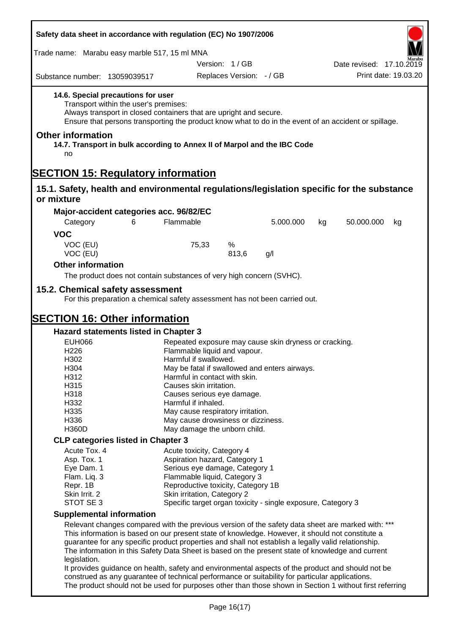| Safety data sheet in accordance with regulation (EC) No 1907/2006                                       |                                                                                                                                                                                                                                                                                                                                                                                                                                                                                                                       |                                                                   |                          |                                                              |    |                          |                      |
|---------------------------------------------------------------------------------------------------------|-----------------------------------------------------------------------------------------------------------------------------------------------------------------------------------------------------------------------------------------------------------------------------------------------------------------------------------------------------------------------------------------------------------------------------------------------------------------------------------------------------------------------|-------------------------------------------------------------------|--------------------------|--------------------------------------------------------------|----|--------------------------|----------------------|
| Trade name: Marabu easy marble 517, 15 ml MNA                                                           |                                                                                                                                                                                                                                                                                                                                                                                                                                                                                                                       |                                                                   |                          |                                                              |    |                          |                      |
|                                                                                                         |                                                                                                                                                                                                                                                                                                                                                                                                                                                                                                                       |                                                                   | Version: 1/GB            |                                                              |    | Date revised: 17.10.2019 |                      |
| Substance number: 13059039517                                                                           |                                                                                                                                                                                                                                                                                                                                                                                                                                                                                                                       |                                                                   | Replaces Version: - / GB |                                                              |    |                          | Print date: 19.03.20 |
| 14.6. Special precautions for user<br><b>Other information</b>                                          | Transport within the user's premises:<br>Always transport in closed containers that are upright and secure.<br>Ensure that persons transporting the product know what to do in the event of an accident or spillage.                                                                                                                                                                                                                                                                                                  |                                                                   |                          |                                                              |    |                          |                      |
| no                                                                                                      | 14.7. Transport in bulk according to Annex II of Marpol and the IBC Code                                                                                                                                                                                                                                                                                                                                                                                                                                              |                                                                   |                          |                                                              |    |                          |                      |
| <b>SECTION 15: Regulatory information</b>                                                               |                                                                                                                                                                                                                                                                                                                                                                                                                                                                                                                       |                                                                   |                          |                                                              |    |                          |                      |
| 15.1. Safety, health and environmental regulations/legislation specific for the substance<br>or mixture |                                                                                                                                                                                                                                                                                                                                                                                                                                                                                                                       |                                                                   |                          |                                                              |    |                          |                      |
|                                                                                                         | Major-accident categories acc. 96/82/EC                                                                                                                                                                                                                                                                                                                                                                                                                                                                               |                                                                   |                          |                                                              |    |                          |                      |
| Category                                                                                                | Flammable<br>6                                                                                                                                                                                                                                                                                                                                                                                                                                                                                                        |                                                                   |                          | 5.000.000                                                    | kg | 50.000.000               | kg                   |
| <b>VOC</b>                                                                                              |                                                                                                                                                                                                                                                                                                                                                                                                                                                                                                                       |                                                                   |                          |                                                              |    |                          |                      |
| VOC (EU)<br>VOC (EU)                                                                                    |                                                                                                                                                                                                                                                                                                                                                                                                                                                                                                                       | 75,33                                                             | ℅<br>813,6               | g/l                                                          |    |                          |                      |
| <b>Other information</b>                                                                                |                                                                                                                                                                                                                                                                                                                                                                                                                                                                                                                       |                                                                   |                          |                                                              |    |                          |                      |
|                                                                                                         | The product does not contain substances of very high concern (SVHC).                                                                                                                                                                                                                                                                                                                                                                                                                                                  |                                                                   |                          |                                                              |    |                          |                      |
| <b>SECTION 16: Other information</b>                                                                    | For this preparation a chemical safety assessment has not been carried out.<br>Hazard statements listed in Chapter 3                                                                                                                                                                                                                                                                                                                                                                                                  |                                                                   |                          |                                                              |    |                          |                      |
| <b>EUH066</b>                                                                                           |                                                                                                                                                                                                                                                                                                                                                                                                                                                                                                                       |                                                                   |                          | Repeated exposure may cause skin dryness or cracking.        |    |                          |                      |
| H226                                                                                                    |                                                                                                                                                                                                                                                                                                                                                                                                                                                                                                                       | Flammable liquid and vapour.<br>Harmful if swallowed.             |                          |                                                              |    |                          |                      |
| H302<br>H304                                                                                            |                                                                                                                                                                                                                                                                                                                                                                                                                                                                                                                       |                                                                   |                          | May be fatal if swallowed and enters airways.                |    |                          |                      |
| H312                                                                                                    |                                                                                                                                                                                                                                                                                                                                                                                                                                                                                                                       | Harmful in contact with skin.                                     |                          |                                                              |    |                          |                      |
| H315                                                                                                    |                                                                                                                                                                                                                                                                                                                                                                                                                                                                                                                       | Causes skin irritation.                                           |                          |                                                              |    |                          |                      |
| H318                                                                                                    |                                                                                                                                                                                                                                                                                                                                                                                                                                                                                                                       | Causes serious eye damage.                                        |                          |                                                              |    |                          |                      |
| H332                                                                                                    |                                                                                                                                                                                                                                                                                                                                                                                                                                                                                                                       | Harmful if inhaled.                                               |                          |                                                              |    |                          |                      |
| H335                                                                                                    |                                                                                                                                                                                                                                                                                                                                                                                                                                                                                                                       | May cause respiratory irritation.                                 |                          |                                                              |    |                          |                      |
| H336                                                                                                    |                                                                                                                                                                                                                                                                                                                                                                                                                                                                                                                       | May cause drowsiness or dizziness.                                |                          |                                                              |    |                          |                      |
| H360D                                                                                                   |                                                                                                                                                                                                                                                                                                                                                                                                                                                                                                                       | May damage the unborn child.                                      |                          |                                                              |    |                          |                      |
|                                                                                                         | <b>CLP categories listed in Chapter 3</b>                                                                                                                                                                                                                                                                                                                                                                                                                                                                             |                                                                   |                          |                                                              |    |                          |                      |
| Acute Tox. 4                                                                                            |                                                                                                                                                                                                                                                                                                                                                                                                                                                                                                                       | Acute toxicity, Category 4                                        |                          |                                                              |    |                          |                      |
| Asp. Tox. 1                                                                                             |                                                                                                                                                                                                                                                                                                                                                                                                                                                                                                                       | Aspiration hazard, Category 1                                     |                          |                                                              |    |                          |                      |
| Eye Dam. 1                                                                                              |                                                                                                                                                                                                                                                                                                                                                                                                                                                                                                                       | Serious eye damage, Category 1                                    |                          |                                                              |    |                          |                      |
| Flam. Liq. 3                                                                                            |                                                                                                                                                                                                                                                                                                                                                                                                                                                                                                                       | Flammable liquid, Category 3                                      |                          |                                                              |    |                          |                      |
| Repr. 1B<br>Skin Irrit. 2                                                                               |                                                                                                                                                                                                                                                                                                                                                                                                                                                                                                                       | Reproductive toxicity, Category 1B<br>Skin irritation, Category 2 |                          |                                                              |    |                          |                      |
| STOT SE 3                                                                                               |                                                                                                                                                                                                                                                                                                                                                                                                                                                                                                                       |                                                                   |                          | Specific target organ toxicity - single exposure, Category 3 |    |                          |                      |
| <b>Supplemental information</b>                                                                         |                                                                                                                                                                                                                                                                                                                                                                                                                                                                                                                       |                                                                   |                          |                                                              |    |                          |                      |
| legislation.                                                                                            | Relevant changes compared with the previous version of the safety data sheet are marked with: ***<br>This information is based on our present state of knowledge. However, it should not constitute a<br>guarantee for any specific product properties and shall not establish a legally valid relationship.<br>The information in this Safety Data Sheet is based on the present state of knowledge and current<br>It provides guidance on health, safety and environmental aspects of the product and should not be |                                                                   |                          |                                                              |    |                          |                      |
|                                                                                                         | construed as any guarantee of technical performance or suitability for particular applications.<br>The product should not be used for purposes other than those shown in Section 1 without first referring                                                                                                                                                                                                                                                                                                            |                                                                   |                          |                                                              |    |                          |                      |